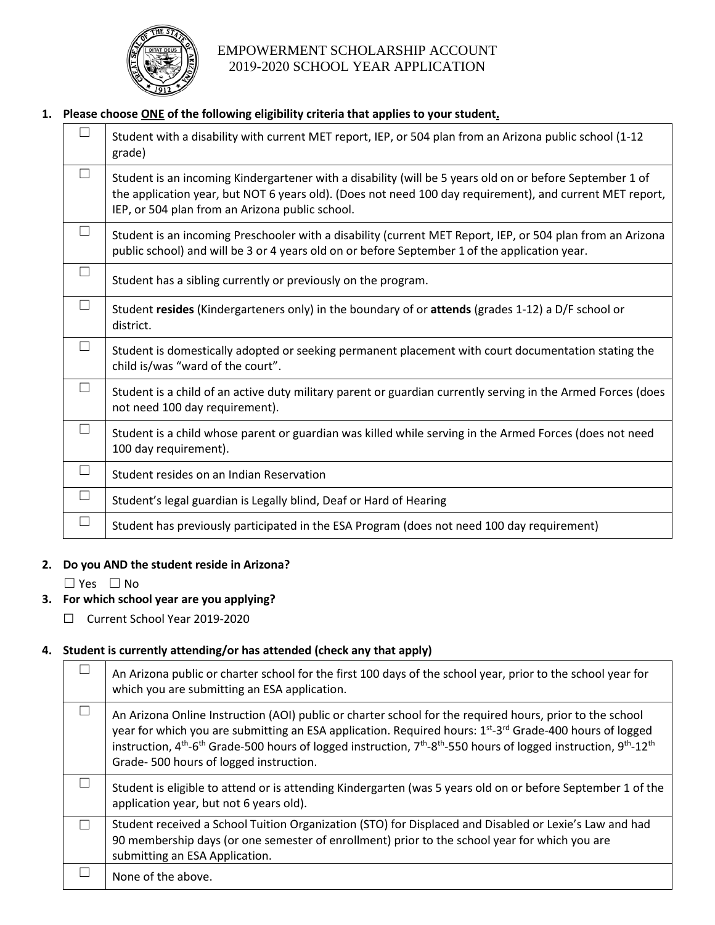

# EMPOWERMENT SCHOLARSHIP ACCOUNT 2019-2020 SCHOOL YEAR APPLICATION

### **1. Please choose ONE of the following eligibility criteria that applies to your student.**

| $\Box$ | Student with a disability with current MET report, IEP, or 504 plan from an Arizona public school (1-12<br>grade)                                                                                                                                                       |
|--------|-------------------------------------------------------------------------------------------------------------------------------------------------------------------------------------------------------------------------------------------------------------------------|
| $\Box$ | Student is an incoming Kindergartener with a disability (will be 5 years old on or before September 1 of<br>the application year, but NOT 6 years old). (Does not need 100 day requirement), and current MET report,<br>IEP, or 504 plan from an Arizona public school. |
| П      | Student is an incoming Preschooler with a disability (current MET Report, IEP, or 504 plan from an Arizona<br>public school) and will be 3 or 4 years old on or before September 1 of the application year.                                                             |
| $\Box$ | Student has a sibling currently or previously on the program.                                                                                                                                                                                                           |
| $\Box$ | Student resides (Kindergarteners only) in the boundary of or attends (grades 1-12) a D/F school or<br>district.                                                                                                                                                         |
| $\Box$ | Student is domestically adopted or seeking permanent placement with court documentation stating the<br>child is/was "ward of the court".                                                                                                                                |
| $\Box$ | Student is a child of an active duty military parent or guardian currently serving in the Armed Forces (does<br>not need 100 day requirement).                                                                                                                          |
| $\Box$ | Student is a child whose parent or guardian was killed while serving in the Armed Forces (does not need<br>100 day requirement).                                                                                                                                        |
| $\Box$ | Student resides on an Indian Reservation                                                                                                                                                                                                                                |
| $\Box$ | Student's legal guardian is Legally blind, Deaf or Hard of Hearing                                                                                                                                                                                                      |
| $\Box$ | Student has previously participated in the ESA Program (does not need 100 day requirement)                                                                                                                                                                              |

#### **2. Do you AND the student reside in Arizona?**

☐ Yes ☐ No

### **3. For which school year are you applying?**

☐ Current School Year 2019-2020

## **4. Student is currently attending/or has attended (check any that apply)**

| An Arizona public or charter school for the first 100 days of the school year, prior to the school year for<br>which you are submitting an ESA application.                                                                                                                                                                                                                                                                                                                         |
|-------------------------------------------------------------------------------------------------------------------------------------------------------------------------------------------------------------------------------------------------------------------------------------------------------------------------------------------------------------------------------------------------------------------------------------------------------------------------------------|
| An Arizona Online Instruction (AOI) public or charter school for the required hours, prior to the school<br>year for which you are submitting an ESA application. Required hours: 1 <sup>st</sup> -3 <sup>rd</sup> Grade-400 hours of logged<br>instruction, 4 <sup>th</sup> -6 <sup>th</sup> Grade-500 hours of logged instruction, 7 <sup>th</sup> -8 <sup>th</sup> -550 hours of logged instruction, 9 <sup>th</sup> -12 <sup>th</sup><br>Grade-500 hours of logged instruction. |
| Student is eligible to attend or is attending Kindergarten (was 5 years old on or before September 1 of the<br>application year, but not 6 years old).                                                                                                                                                                                                                                                                                                                              |
| Student received a School Tuition Organization (STO) for Displaced and Disabled or Lexie's Law and had<br>90 membership days (or one semester of enrollment) prior to the school year for which you are<br>submitting an ESA Application.                                                                                                                                                                                                                                           |
| None of the above.                                                                                                                                                                                                                                                                                                                                                                                                                                                                  |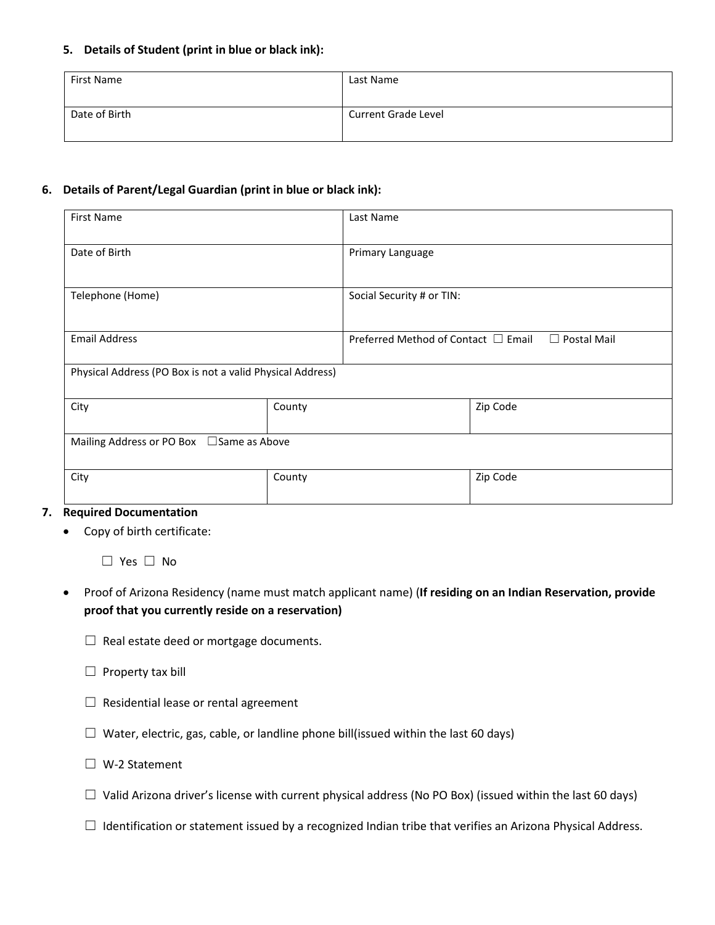### **5. Details of Student (print in blue or black ink):**

| First Name    | Last Name                  |
|---------------|----------------------------|
| Date of Birth | <b>Current Grade Level</b> |

### **6. Details of Parent/Legal Guardian (print in blue or black ink):**

| <b>First Name</b>                                         |        | Last Name                                |                    |
|-----------------------------------------------------------|--------|------------------------------------------|--------------------|
| Date of Birth                                             |        | Primary Language                         |                    |
| Telephone (Home)                                          |        | Social Security # or TIN:                |                    |
| <b>Email Address</b>                                      |        | Preferred Method of Contact $\Box$ Email | $\Box$ Postal Mail |
| Physical Address (PO Box is not a valid Physical Address) |        |                                          |                    |
| City                                                      | County |                                          | Zip Code           |
| Mailing Address or PO Box □ Same as Above                 |        |                                          |                    |
| City<br>$\overline{\phantom{a}}$<br>$\sim$ $\sim$         | County |                                          | Zip Code           |

#### **7. Required Documentation**

• Copy of birth certificate:

☐ Yes ☐ No

- Proof of Arizona Residency (name must match applicant name) (**If residing on an Indian Reservation, provide proof that you currently reside on a reservation)**
	- $\Box$  Real estate deed or mortgage documents.
	- $\Box$  Property tax bill
	- $\Box$  Residential lease or rental agreement
	- $\Box$  Water, electric, gas, cable, or landline phone bill(issued within the last 60 days)
	- ☐ W-2 Statement
	- $\Box$  Valid Arizona driver's license with current physical address (No PO Box) (issued within the last 60 days)
	- ☐ Identification or statement issued by a recognized Indian tribe that verifies an Arizona Physical Address.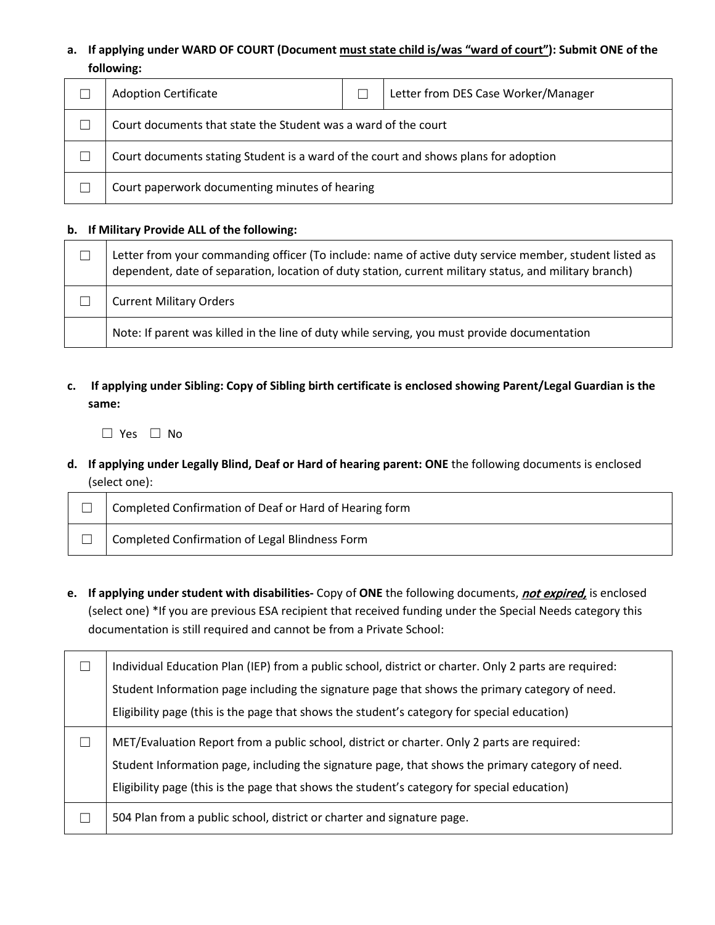## **a. If applying under WARD OF COURT (Document must state child is/was "ward of court"): Submit ONE of the following:**

| <b>Adoption Certificate</b>                                                         |  | Letter from DES Case Worker/Manager |
|-------------------------------------------------------------------------------------|--|-------------------------------------|
| Court documents that state the Student was a ward of the court                      |  |                                     |
| Court documents stating Student is a ward of the court and shows plans for adoption |  |                                     |
| Court paperwork documenting minutes of hearing                                      |  |                                     |

### **b. If Military Provide ALL of the following:**

| ⊔ | Letter from your commanding officer (To include: name of active duty service member, student listed as<br>dependent, date of separation, location of duty station, current military status, and military branch) |
|---|------------------------------------------------------------------------------------------------------------------------------------------------------------------------------------------------------------------|
|   | <b>Current Military Orders</b>                                                                                                                                                                                   |
|   | Note: If parent was killed in the line of duty while serving, you must provide documentation                                                                                                                     |

**c. If applying under Sibling: Copy of Sibling birth certificate is enclosed showing Parent/Legal Guardian is the same:**

☐ Yes ☐ No

**d. If applying under Legally Blind, Deaf or Hard of hearing parent: ONE** the following documents is enclosed (select one):

| Completed Confirmation of Deaf or Hard of Hearing form |
|--------------------------------------------------------|
| Completed Confirmation of Legal Blindness Form         |

**e. If applying under student with disabilities-** Copy of **ONE** the following documents, not expired, is enclosed (select one) \*If you are previous ESA recipient that received funding under the Special Needs category this documentation is still required and cannot be from a Private School:

| Individual Education Plan (IEP) from a public school, district or charter. Only 2 parts are required: |
|-------------------------------------------------------------------------------------------------------|
| Student Information page including the signature page that shows the primary category of need.        |
| Eligibility page (this is the page that shows the student's category for special education)           |
| MET/Evaluation Report from a public school, district or charter. Only 2 parts are required:           |
| Student Information page, including the signature page, that shows the primary category of need.      |
| Eligibility page (this is the page that shows the student's category for special education)           |
| 504 Plan from a public school, district or charter and signature page.                                |